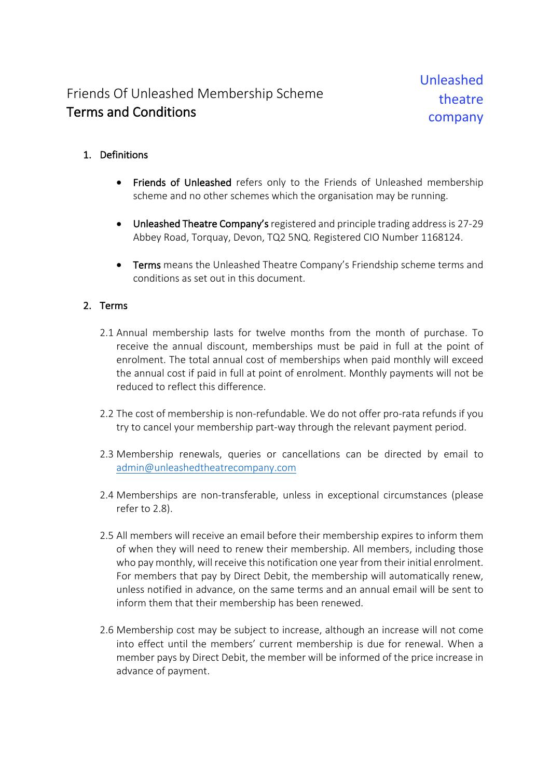## Friends Of Unleashed Membership Scheme Terms and Conditions

## 1. Definitions

- Friends of Unleashed refers only to the Friends of Unleashed membership scheme and no other schemes which the organisation may be running.
- Unleashed Theatre Company's registered and principle trading address is 27-29 Abbey Road, Torquay, Devon, TQ2 5NQ. Registered CIO Number 1168124.
- Terms means the Unleashed Theatre Company's Friendship scheme terms and conditions as set out in this document.

## 2. Terms

- 2.1 Annual membership lasts for twelve months from the month of purchase. To receive the annual discount, memberships must be paid in full at the point of enrolment. The total annual cost of memberships when paid monthly will exceed the annual cost if paid in full at point of enrolment. Monthly payments will not be reduced to reflect this difference.
- 2.2 The cost of membership is non-refundable. We do not offer pro-rata refunds if you try to cancel your membership part-way through the relevant payment period.
- 2.3 Membership renewals, queries or cancellations can be directed by email to admin@unleashedtheatrecompany.com
- 2.4 Memberships are non-transferable, unless in exceptional circumstances (please refer to 2.8).
- 2.5 All members will receive an email before their membership expires to inform them of when they will need to renew their membership. All members, including those who pay monthly, will receive this notification one year from their initial enrolment. For members that pay by Direct Debit, the membership will automatically renew, unless notified in advance, on the same terms and an annual email will be sent to inform them that their membership has been renewed.
- 2.6 Membership cost may be subject to increase, although an increase will not come into effect until the members' current membership is due for renewal. When a member pays by Direct Debit, the member will be informed of the price increase in advance of payment.